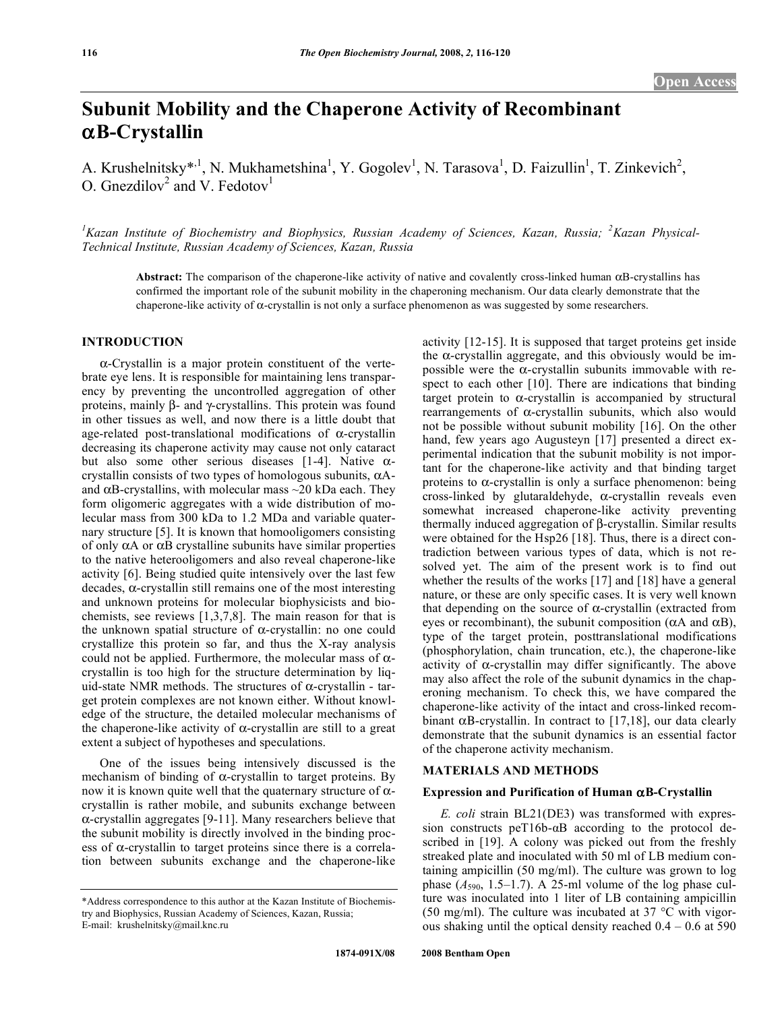# **Subunit Mobility and the Chaperone Activity of Recombinant**  -**B-Crystallin**

A. Krushelnitsky<sup>\*, 1</sup>, N. Mukhametshina<sup>1</sup>, Y. Gogolev<sup>1</sup>, N. Tarasova<sup>1</sup>, D. Faizullin<sup>1</sup>, T. Zinkevich<sup>2</sup>, O. Gnezdilov<sup>2</sup> and V. Fedotov<sup>1</sup>

<sup>1</sup> Kazan Institute of Biochemistry and Biophysics, Russian Academy of Sciences, Kazan, Russia; <sup>2</sup> Kazan Physical-*Technical Institute, Russian Academy of Sciences, Kazan, Russia* 

Abstract: The comparison of the chaperone-like activity of native and covalently cross-linked human  $\alpha$ B-crystallins has confirmed the important role of the subunit mobility in the chaperoning mechanism. Our data clearly demonstrate that the chaperone-like activity of  $\alpha$ -crystallin is not only a surface phenomenon as was suggested by some researchers.

# **INTRODUCTION**

--Crystallin is a major protein constituent of the vertebrate eye lens. It is responsible for maintaining lens transparency by preventing the uncontrolled aggregation of other proteins, mainly  $\beta$ - and  $\gamma$ -crystallins. This protein was found in other tissues as well, and now there is a little doubt that age-related post-translational modifications of  $\alpha$ -crystallin decreasing its chaperone activity may cause not only cataract but also some other serious diseases [1-4]. Native  $\alpha$ crystallin consists of two types of homologous subunits,  $\alpha A$ and  $\alpha$ B-crystallins, with molecular mass  $\sim$ 20 kDa each. They form oligomeric aggregates with a wide distribution of molecular mass from 300 kDa to 1.2 MDa and variable quaternary structure [5]. It is known that homooligomers consisting of only  $\alpha$ A or  $\alpha$ B crystalline subunits have similar properties to the native heterooligomers and also reveal chaperone-like activity [6]. Being studied quite intensively over the last few decades,  $\alpha$ -crystallin still remains one of the most interesting and unknown proteins for molecular biophysicists and biochemists, see reviews [1,3,7,8]. The main reason for that is the unknown spatial structure of  $\alpha$ -crystallin: no one could crystallize this protein so far, and thus the X-ray analysis could not be applied. Furthermore, the molecular mass of  $\alpha$ crystallin is too high for the structure determination by liquid-state NMR methods. The structures of  $\alpha$ -crystallin - target protein complexes are not known either. Without knowledge of the structure, the detailed molecular mechanisms of the chaperone-like activity of  $\alpha$ -crystallin are still to a great extent a subject of hypotheses and speculations.

 One of the issues being intensively discussed is the mechanism of binding of  $\alpha$ -crystallin to target proteins. By now it is known quite well that the quaternary structure of  $\alpha$ crystallin is rather mobile, and subunits exchange between --crystallin aggregates [9-11]. Many researchers believe that the subunit mobility is directly involved in the binding process of  $\alpha$ -crystallin to target proteins since there is a correlation between subunits exchange and the chaperone-like

activity [12-15]. It is supposed that target proteins get inside the  $\alpha$ -crystallin aggregate, and this obviously would be impossible were the  $\alpha$ -crystallin subunits immovable with respect to each other [10]. There are indications that binding target protein to  $\alpha$ -crystallin is accompanied by structural rearrangements of  $\alpha$ -crystallin subunits, which also would not be possible without subunit mobility [16]. On the other hand, few years ago Augusteyn [17] presented a direct experimental indication that the subunit mobility is not important for the chaperone-like activity and that binding target proteins to  $\alpha$ -crystallin is only a surface phenomenon: being cross-linked by glutaraldehyde,  $\alpha$ -crystallin reveals even somewhat increased chaperone-like activity preventing thermally induced aggregation of  $\beta$ -crystallin. Similar results were obtained for the Hsp26 [18]. Thus, there is a direct contradiction between various types of data, which is not resolved yet. The aim of the present work is to find out whether the results of the works [17] and [18] have a general nature, or these are only specific cases. It is very well known that depending on the source of  $\alpha$ -crystallin (extracted from eyes or recombinant), the subunit composition ( $\alpha$ A and  $\alpha$ B), type of the target protein, posttranslational modifications (phosphorylation, chain truncation, etc.), the chaperone-like activity of  $\alpha$ -crystallin may differ significantly. The above may also affect the role of the subunit dynamics in the chaperoning mechanism. To check this, we have compared the chaperone-like activity of the intact and cross-linked recombinant  $\alpha$ B-crystallin. In contract to [17,18], our data clearly demonstrate that the subunit dynamics is an essential factor of the chaperone activity mechanism.

## **MATERIALS AND METHODS**

## Expression and Purification of Human  $\alpha$ B-Crystallin

 *E. coli* strain BL21(DE3) was transformed with expression constructs pe $T16b-aB$  according to the protocol described in [19]. A colony was picked out from the freshly streaked plate and inoculated with 50 ml of LB medium containing ampicillin (50 mg/ml). The culture was grown to log phase  $(A_{590}, 1.5-1.7)$ . A 25-ml volume of the log phase culture was inoculated into 1 liter of LB containing ampicillin (50 mg/ml). The culture was incubated at 37  $\degree$ C with vigorous shaking until the optical density reached  $0.4 - 0.6$  at 590

<sup>\*</sup>Address correspondence to this author at the Kazan Institute of Biochemistry and Biophysics, Russian Academy of Sciences, Kazan, Russia; E-mail: krushelnitsky@mail.knc.ru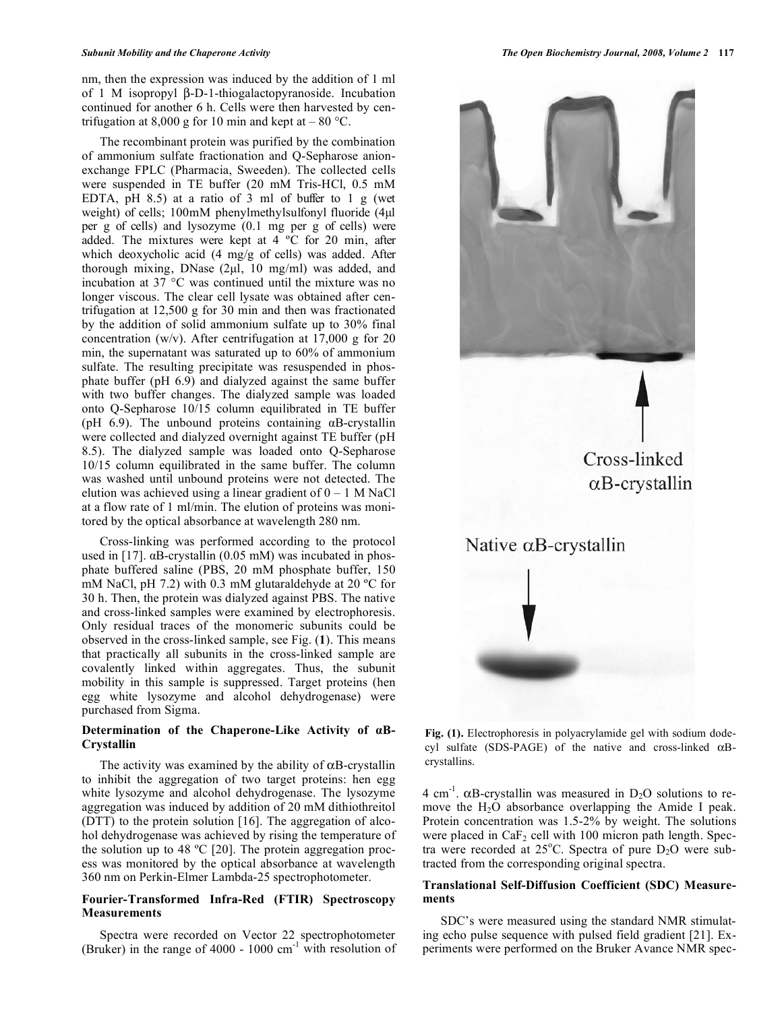nm, then the expression was induced by the addition of 1 ml of 1 M isopropyl  $\beta$ -D-1-thiogalactopyranoside. Incubation continued for another 6 h. Cells were then harvested by centrifugation at 8,000 g for 10 min and kept at  $-80$  °C.

 The recombinant protein was purified by the combination of ammonium sulfate fractionation and Q-Sepharose anionexchange FPLC (Pharmacia, Sweeden). The collected cells were suspended in TE buffer (20 mM Tris-HCl, 0.5 mM EDTA, pH 8.5) at a ratio of 3 ml of buffer to 1 g (wet weight) of cells; 100mM phenylmethylsulfonyl fluoride (4μl per g of cells) and lysozyme (0.1 mg per g of cells) were added. The mixtures were kept at 4 ºC for 20 min, after which deoxycholic acid (4 mg/g of cells) was added. After thorough mixing, DNase (2μl, 10 mg/ml) was added, and incubation at 37 °C was continued until the mixture was no longer viscous. The clear cell lysate was obtained after centrifugation at 12,500 g for 30 min and then was fractionated by the addition of solid ammonium sulfate up to 30% final concentration (w/v). After centrifugation at  $17,000 \text{ g}$  for 20 min, the supernatant was saturated up to 60% of ammonium sulfate. The resulting precipitate was resuspended in phosphate buffer (pH 6.9) and dialyzed against the same buffer with two buffer changes. The dialyzed sample was loaded onto Q-Sepharose 10/15 column equilibrated in TE buffer (pH  $6.9$ ). The unbound proteins containing  $\alpha$ B-crystallin were collected and dialyzed overnight against TE buffer (pH 8.5). The dialyzed sample was loaded onto Q-Sepharose 10/15 column equilibrated in the same buffer. The column was washed until unbound proteins were not detected. The elution was achieved using a linear gradient of  $0 - 1$  M NaCl at a flow rate of 1 ml/min. The elution of proteins was monitored by the optical absorbance at wavelength 280 nm.

 Cross-linking was performed according to the protocol used in [17].  $\alpha$ B-crystallin (0.05 mM) was incubated in phosphate buffered saline (PBS, 20 mM phosphate buffer, 150 mM NaCl, pH 7.2) with 0.3 mM glutaraldehyde at 20 ºC for 30 h. Then, the protein was dialyzed against PBS. The native and cross-linked samples were examined by electrophoresis. Only residual traces of the monomeric subunits could be observed in the cross-linked sample, see Fig. (**1**). This means that practically all subunits in the cross-linked sample are covalently linked within aggregates. Thus, the subunit mobility in this sample is suppressed. Target proteins (hen egg white lysozyme and alcohol dehydrogenase) were purchased from Sigma.

# Determination of the Chaperone-Like Activity of  $\alpha$ B-**Crystallin**

The activity was examined by the ability of  $\alpha$ B-crystallin to inhibit the aggregation of two target proteins: hen egg white lysozyme and alcohol dehydrogenase. The lysozyme aggregation was induced by addition of 20 mM dithiothreitol (DTT) to the protein solution [16]. The aggregation of alcohol dehydrogenase was achieved by rising the temperature of the solution up to 48 ºC [20]. The protein aggregation process was monitored by the optical absorbance at wavelength 360 nm on Perkin-Elmer Lambda-25 spectrophotometer.

# **Fourier-Transformed Infra-Red (FTIR) Spectroscopy Measurements**

 Spectra were recorded on Vector 22 spectrophotometer (Bruker) in the range of  $4000 - 1000$  cm<sup>-1</sup> with resolution of



**Fig. (1).** Electrophoresis in polyacrylamide gel with sodium dodecyl sulfate (SDS-PAGE) of the native and cross-linked  $\alpha$ Bcrystallins.

4 cm<sup>-1</sup>.  $\alpha$ B-crystallin was measured in D<sub>2</sub>O solutions to remove the H<sub>2</sub>O absorbance overlapping the Amide I peak. Protein concentration was 1.5-2% by weight. The solutions were placed in  $CaF<sub>2</sub>$  cell with 100 micron path length. Spectra were recorded at  $25^{\circ}$ C. Spectra of pure D<sub>2</sub>O were subtracted from the corresponding original spectra.

# **Translational Self-Diffusion Coefficient (SDC) Measurements**

 SDC's were measured using the standard NMR stimulating echo pulse sequence with pulsed field gradient [21]. Experiments were performed on the Bruker Avance NMR spec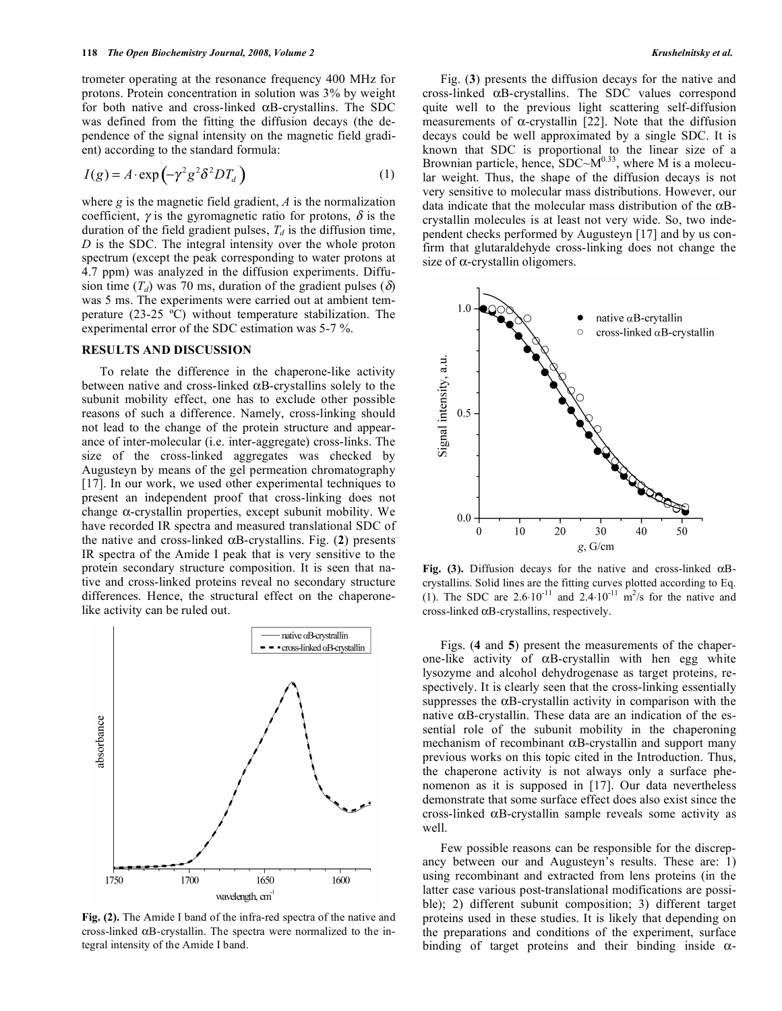trometer operating at the resonance frequency 400 MHz for protons. Protein concentration in solution was 3% by weight for both native and cross-linked  $\alpha$ B-crystallins. The SDC was defined from the fitting the diffusion decays (the dependence of the signal intensity on the magnetic field gradient) according to the standard formula:

$$
I(g) = A \cdot \exp\left(-\gamma^2 g^2 \delta^2 D T_d\right) \tag{1}
$$

where *g* is the magnetic field gradient, *A* is the normalization coefficient,  $\gamma$  is the gyromagnetic ratio for protons,  $\delta$  is the duration of the field gradient pulses,  $T_d$  is the diffusion time, *D* is the SDC. The integral intensity over the whole proton spectrum (except the peak corresponding to water protons at 4.7 ppm) was analyzed in the diffusion experiments. Diffusion time  $(T_d)$  was 70 ms, duration of the gradient pulses ( $\delta$ ) was 5 ms. The experiments were carried out at ambient temperature (23-25 ºC) without temperature stabilization. The experimental error of the SDC estimation was 5-7 %.

#### **RESULTS AND DISCUSSION**

 To relate the difference in the chaperone-like activity between native and cross-linked  $\alpha$ B-crystallins solely to the subunit mobility effect, one has to exclude other possible reasons of such a difference. Namely, cross-linking should not lead to the change of the protein structure and appearance of inter-molecular (i.e. inter-aggregate) cross-links. The size of the cross-linked aggregates was checked by Augusteyn by means of the gel permeation chromatography [17]. In our work, we used other experimental techniques to present an independent proof that cross-linking does not change  $\alpha$ -crystallin properties, except subunit mobility. We have recorded IR spectra and measured translational SDC of the native and cross-linked  $\alpha$ B-crystallins. Fig. (2) presents IR spectra of the Amide I peak that is very sensitive to the protein secondary structure composition. It is seen that native and cross-linked proteins reveal no secondary structure differences. Hence, the structural effect on the chaperonelike activity can be ruled out.



**Fig. (2).** The Amide I band of the infra-red spectra of the native and cross-linked  $\alpha$ B-crystallin. The spectra were normalized to the integral intensity of the Amide I band.

 Fig. (**3**) presents the diffusion decays for the native and cross-linked  $\alpha$ B-crystallins. The SDC values correspond quite well to the previous light scattering self-diffusion measurements of  $\alpha$ -crystallin [22]. Note that the diffusion decays could be well approximated by a single SDC. It is known that SDC is proportional to the linear size of a Brownian particle, hence,  $SDC-M^{0.33}$ , where M is a molecular weight. Thus, the shape of the diffusion decays is not very sensitive to molecular mass distributions. However, our data indicate that the molecular mass distribution of the  $\alpha$ Bcrystallin molecules is at least not very wide. So, two independent checks performed by Augusteyn [17] and by us confirm that glutaraldehyde cross-linking does not change the size of  $\alpha$ -crystallin oligomers.



Fig. (3). Diffusion decays for the native and cross-linked  $\alpha$ Bcrystallins. Solid lines are the fitting curves plotted according to Eq. (1). The SDC are  $2.6 \cdot 10^{-11}$  and  $2.4 \cdot 10^{-11}$  m<sup>2</sup>/s for the native and  $cross-linked \alpha B-crystallins, respectively.$ 

 Figs. (**4** and **5**) present the measurements of the chaperone-like activity of  $\alpha$ B-crystallin with hen egg white lysozyme and alcohol dehydrogenase as target proteins, respectively. It is clearly seen that the cross-linking essentially suppresses the  $\alpha$ B-crystallin activity in comparison with the native  $\alpha$ B-crystallin. These data are an indication of the essential role of the subunit mobility in the chaperoning mechanism of recombinant  $\alpha$ B-crystallin and support many previous works on this topic cited in the Introduction. Thus, the chaperone activity is not always only a surface phenomenon as it is supposed in [17]. Our data nevertheless demonstrate that some surface effect does also exist since the cross-linked  $\alpha$ B-crystallin sample reveals some activity as well.

 Few possible reasons can be responsible for the discrepancy between our and Augusteyn's results. These are: 1) using recombinant and extracted from lens proteins (in the latter case various post-translational modifications are possible); 2) different subunit composition; 3) different target proteins used in these studies. It is likely that depending on the preparations and conditions of the experiment, surface binding of target proteins and their binding inside  $\alpha$ -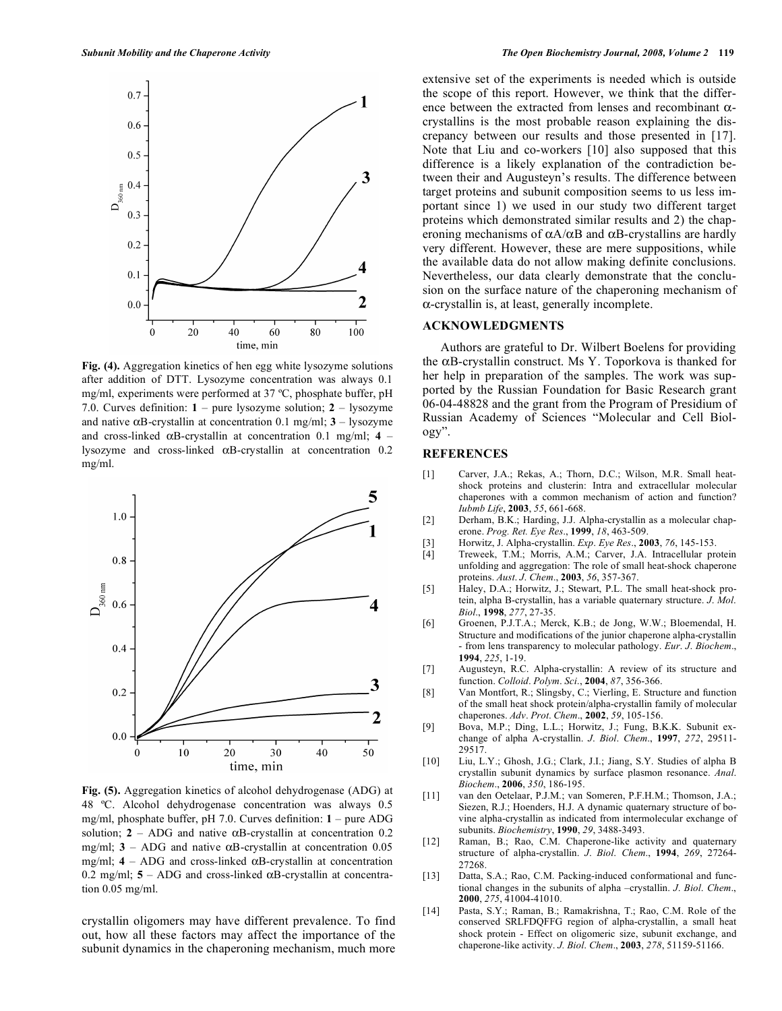

**Fig. (4).** Aggregation kinetics of hen egg white lysozyme solutions after addition of DTT. Lysozyme concentration was always 0.1 mg/ml, experiments were performed at 37 ºC, phosphate buffer, pH 7.0. Curves definition: **1** – pure lysozyme solution; **2** – lysozyme and native  $\alpha$ B-crystallin at concentration 0.1 mg/ml;  $3 -$ lysozyme and cross-linked  $\alpha$ B-crystallin at concentration 0.1 mg/ml; 4 – lysozyme and cross-linked  $\alpha$ B-crystallin at concentration 0.2 mg/ml.



**Fig. (5).** Aggregation kinetics of alcohol dehydrogenase (ADG) at 48 ºC. Alcohol dehydrogenase concentration was always 0.5 mg/ml, phosphate buffer, pH 7.0. Curves definition: **1** – pure ADG solution;  $2 - ADC$  and native  $\alpha$ B-crystallin at concentration 0.2 mg/ml;  $3 - ADC$  and native  $\alpha$ B-crystallin at concentration 0.05 mg/ml;  $4 - ADC$  and cross-linked  $\alpha$ B-crystallin at concentration 0.2 mg/ml;  $5 - ADC$  and cross-linked  $\alpha$ B-crystallin at concentration 0.05 mg/ml.

crystallin oligomers may have different prevalence. To find out, how all these factors may affect the importance of the subunit dynamics in the chaperoning mechanism, much more extensive set of the experiments is needed which is outside the scope of this report. However, we think that the difference between the extracted from lenses and recombinant  $\alpha$ crystallins is the most probable reason explaining the discrepancy between our results and those presented in [17]. Note that Liu and co-workers [10] also supposed that this difference is a likely explanation of the contradiction between their and Augusteyn's results. The difference between target proteins and subunit composition seems to us less important since 1) we used in our study two different target proteins which demonstrated similar results and 2) the chaperoning mechanisms of  $\alpha A/\alpha B$  and  $\alpha B$ -crystallins are hardly very different. However, these are mere suppositions, while the available data do not allow making definite conclusions. Nevertheless, our data clearly demonstrate that the conclusion on the surface nature of the chaperoning mechanism of  $\alpha$ -crystallin is, at least, generally incomplete.

## **ACKNOWLEDGMENTS**

 Authors are grateful to Dr. Wilbert Boelens for providing the  $\alpha$ B-crystallin construct. Ms Y. Toporkova is thanked for her help in preparation of the samples. The work was supported by the Russian Foundation for Basic Research grant 06-04-48828 and the grant from the Program of Presidium of Russian Academy of Sciences "Molecular and Cell Biology".

#### **REFERENCES**

- [1] Carver, J.A.; Rekas, A.; Thorn, D.C.; Wilson, M.R. Small heatshock proteins and clusterin: Intra and extracellular molecular chaperones with a common mechanism of action and function? *Iubmb Life*, **2003**, *55*, 661-668.
- [2] Derham, B.K.; Harding, J.J. Alpha-crystallin as a molecular chaperone. *Prog. Ret. Eye Res*., **1999**, *18*, 463-509.
- [3] Horwitz, J. Alpha-crystallin. *Exp*. *Eye Res*., **2003**, *76*, 145-153.
- [4] Treweek, T.M.; Morris, A.M.; Carver, J.A. Intracellular protein unfolding and aggregation: The role of small heat-shock chaperone proteins. *Aust*. *J*. *Chem*., **2003**, *56*, 357-367.
- [5] Haley, D.A.; Horwitz, J.; Stewart, P.L. The small heat-shock protein, alpha B-crystallin, has a variable quaternary structure. *J*. *Mol*. *Biol*., **1998**, *277*, 27-35.
- [6] Groenen, P.J.T.A.; Merck, K.B.; de Jong, W.W.; Bloemendal, H. Structure and modifications of the junior chaperone alpha-crystallin - from lens transparency to molecular pathology. *Eur*. *J*. *Biochem*., **1994**, *225*, 1-19.
- [7] Augusteyn, R.C. Alpha-crystallin: A review of its structure and function. *Colloid*. *Polym*. *Sci*., **2004**, *87*, 356-366.
- [8] Van Montfort, R.; Slingsby, C.; Vierling, E. Structure and function of the small heat shock protein/alpha-crystallin family of molecular chaperones. *Adv*. *Prot*. *Chem*., **2002**, *59*, 105-156.
- [9] Bova, M.P.; Ding, L.L.; Horwitz, J.; Fung, B.K.K. Subunit exchange of alpha A-crystallin. *J*. *Biol*. *Chem*., **1997**, *272*, 29511- 29517.
- [10] Liu, L.Y.; Ghosh, J.G.; Clark, J.I.; Jiang, S.Y. Studies of alpha B crystallin subunit dynamics by surface plasmon resonance. *Anal*. *Biochem*., **2006**, *350*, 186-195.
- [11] van den Oetelaar, P.J.M.; van Someren, P.F.H.M.; Thomson, J.A.; Siezen, R.J.; Hoenders, H.J. A dynamic quaternary structure of bovine alpha-crystallin as indicated from intermolecular exchange of subunits. *Biochemistry*, **1990**, *29*, 3488-3493.
- [12] Raman, B.; Rao, C.M. Chaperone-like activity and quaternary structure of alpha-crystallin. *J*. *Biol*. *Chem*., **1994**, *269*, 27264- 27268.
- [13] Datta, S.A.; Rao, C.M. Packing-induced conformational and functional changes in the subunits of alpha –crystallin. *J*. *Biol*. *Chem*., **2000**, *275*, 41004-41010.
- [14] Pasta, S.Y.; Raman, B.; Ramakrishna, T.; Rao, C.M. Role of the conserved SRLFDQFFG region of alpha-crystallin, a small heat shock protein - Effect on oligomeric size, subunit exchange, and chaperone-like activity. *J. Biol*. *Chem*., **2003**, *278*, 51159-51166.